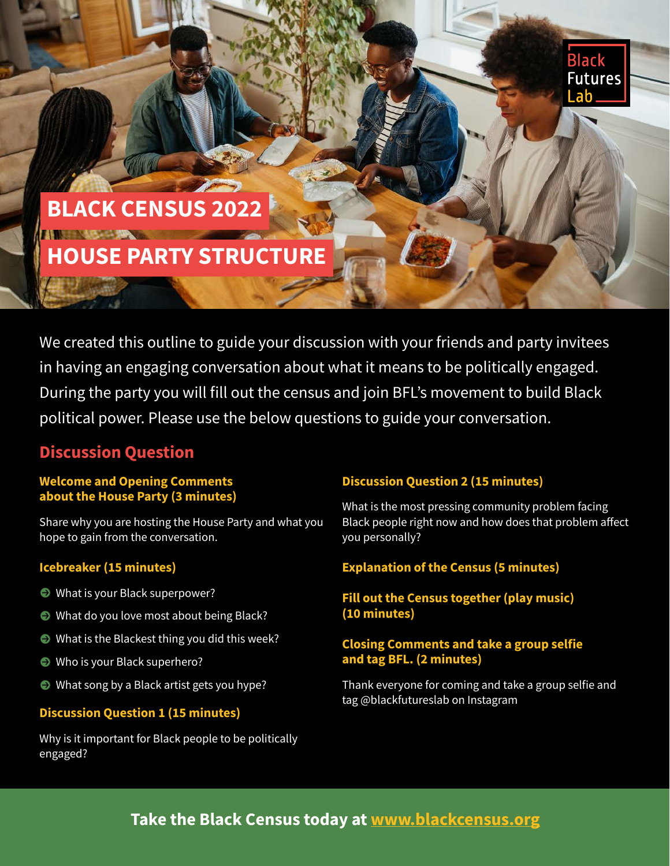

# **BLACK CENSUS 2022 HOUSE PARTY STRUCTURE**

We created this outline to guide your discussion with your friends and party invitees in having an engaging conversation about what it means to be politically engaged. During the party you will fill out the census and join BFL's movement to build Black political power. Please use the below questions to guide your conversation.

## **Discussion Question**

#### **Welcome and Opening Comments about the House Party (3 minutes)**

Share why you are hosting the House Party and what you hope to gain from the conversation.

#### **Icebreaker (15 minutes)**

- What is your Black superpower?
- What do you love most about being Black?
- $\bullet$  What is the Blackest thing you did this week?
- Who is your Black superhero?
- What song by a Black artist gets you hype?

#### **Discussion Question 1 (15 minutes)**

Why is it important for Black people to be politically engaged?

#### **Discussion Question 2 (15 minutes)**

What is the most pressing community problem facing Black people right now and how does that problem affect you personally?

#### **Explanation of the Census (5 minutes)**

#### **Fill out the Census together (play music) (10 minutes)**

#### **Closing Comments and take a group selfie and tag BFL. (2 minutes)**

Thank everyone for coming and take a group selfie and tag @blackfutureslab on Instagram

## **Take the Black Census today at [www.blackcensus.org](https://blackcensus.org/)**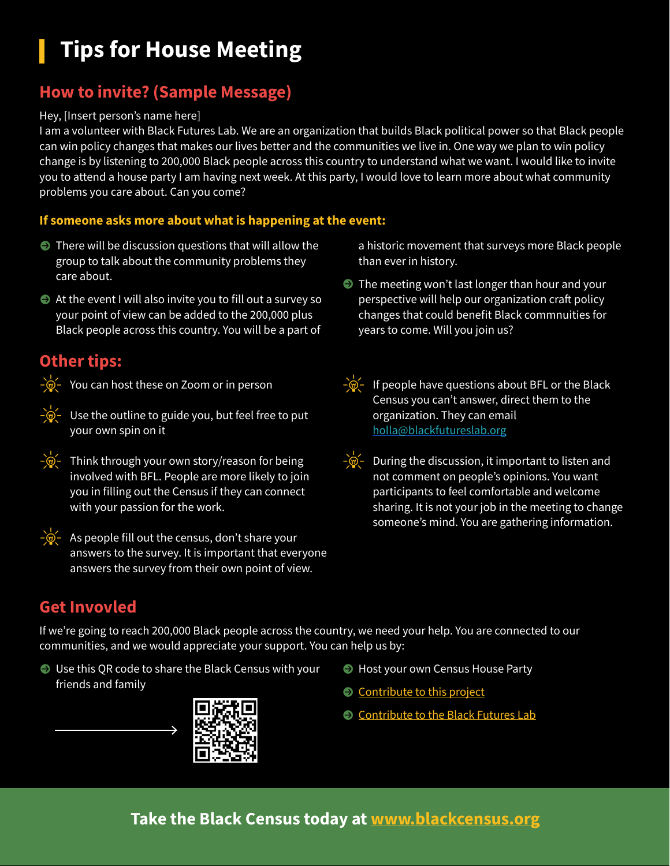## **Tips for House Meeting**

## **How to invite? (Sample Message)**

#### Hey, [Insert person's name here]

I am a volunteer with Black Futures Lab. We are an organization that builds Black political power so that Black people can win policy changes that makes our lives better and the communities we live in. One way we plan to win policy change is by listening to 200,000 Black people across this country to understand what we want. I would like to invite you to attend a house party I am having next week. At this party, I would love to learn more about what community problems you care about. Can you come?

#### **If someone asks more about what is happening at the event:**

- $\bullet$  There will be discussion questions that will allow the group to talk about the community problems they care about.
- $\bullet$  At the event I will also invite you to fill out a survey so your point of view can be added to the 200,000 plus Black people across this country. You will be a part of

### **Other tips:**

 $-\frac{1}{2}$  You can host these on Zoom or in person

- 
- $-\frac{1}{2}$  Use the outline to guide you, but feel free to put your own spin on it
- 
- $-\dot{\mathbb{Q}}$  Think through your own story/reason for being involved with BFL. People are more likely to join you in filling out the Census if they can connect with your passion for the work.



 $-\hat{\mathcal{O}}$  - As people fill out the census, don't share your answers to the survey. It is important that everyone answers the survey from their own point of view.

a historic movement that surveys more Black people than ever in history.

- **P** The meeting won't last longer than hour and your perspective will help our organization craft policy changes that could benefit Black commnuities for years to come. Will you join us?
- $-\frac{1}{2}$  If people have questions about BFL or the Black Census you can't answer, direct them to the organization. They can email [holla@blackfutureslab.org](mailto:holla@blackfutureslab.org)
- 
- $-\phi$  During the discussion, it important to listen and not comment on people's opinions. You want participants to feel comfortable and welcome sharing. It is not your job in the meeting to change someone's mind. You are gathering information.

## **Get Invovled**

If we're going to reach 200,000 Black people across the country, we need your help. You are connected to our communities, and we would appreciate your support. You can help us by:

● Use this QR code to share the Black Census with your friends and family



- **Host your own Census House Party**
- **[Contribute to this project](https://blackcensus.org/)**
- **[Contribute to the Black Futures Lab](https://cpasf.ourpowerbase.net/civicrm/contribute/transact?reset=1&id=45)**

## **Take the Black Census today at [www.blackcensus.org](https://blackcensus.org/)**